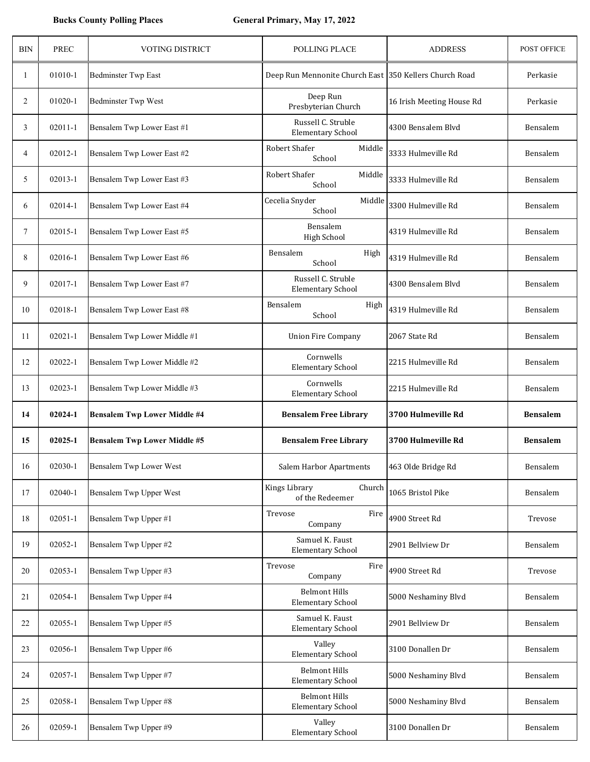| <b>BIN</b>     | <b>PREC</b> | VOTING DISTRICT                     | POLLING PLACE                                          | <b>ADDRESS</b>            | POST OFFICE     |
|----------------|-------------|-------------------------------------|--------------------------------------------------------|---------------------------|-----------------|
| 1              | 01010-1     | <b>Bedminster Twp East</b>          | Deep Run Mennonite Church East 350 Kellers Church Road |                           | Perkasie        |
| $\overline{c}$ | 01020-1     | Bedminster Twp West                 | Deep Run<br>Presbyterian Church                        | 16 Irish Meeting House Rd | Perkasie        |
| 3              | $02011 - 1$ | Bensalem Twp Lower East #1          | Russell C. Struble<br><b>Elementary School</b>         | 4300 Bensalem Blvd        | Bensalem        |
| $\overline{4}$ | 02012-1     | Bensalem Twp Lower East #2          | Robert Shafer<br>Middle<br>School                      | 3333 Hulmeville Rd        | Bensalem        |
| 5              | 02013-1     | Bensalem Twp Lower East #3          | Robert Shafer<br>Middle<br>School                      | 3333 Hulmeville Rd        | Bensalem        |
| 6              | 02014-1     | Bensalem Twp Lower East #4          | Cecelia Snyder<br>Middle<br>School                     | 3300 Hulmeville Rd        | Bensalem        |
| $\tau$         | 02015-1     | Bensalem Twp Lower East #5          | Bensalem<br><b>High School</b>                         | 4319 Hulmeville Rd        | Bensalem        |
| 8              | 02016-1     | Bensalem Twp Lower East #6          | Bensalem<br>High<br>School                             | 4319 Hulmeville Rd        | Bensalem        |
| 9              | 02017-1     | Bensalem Twp Lower East #7          | Russell C. Struble<br><b>Elementary School</b>         | 4300 Bensalem Blvd        | Bensalem        |
| 10             | 02018-1     | Bensalem Twp Lower East #8          | Bensalem<br>High<br>School                             | 4319 Hulmeville Rd        | Bensalem        |
| 11             | $02021 - 1$ | Bensalem Twp Lower Middle #1        | <b>Union Fire Company</b>                              | 2067 State Rd             | Bensalem        |
| 12             | 02022-1     | Bensalem Twp Lower Middle #2        | Cornwells<br><b>Elementary School</b>                  | 2215 Hulmeville Rd        | Bensalem        |
| 13             | 02023-1     | Bensalem Twp Lower Middle #3        | Cornwells<br><b>Elementary School</b>                  | 2215 Hulmeville Rd        | Bensalem        |
| 14             | 02024-1     | <b>Bensalem Twp Lower Middle #4</b> | <b>Bensalem Free Library</b>                           | 3700 Hulmeville Rd        | <b>Bensalem</b> |
| 15             | 02025-1     | <b>Bensalem Twp Lower Middle #5</b> | <b>Bensalem Free Library</b>                           | 3700 Hulmeville Rd        | <b>Bensalem</b> |
| 16             | 02030-1     | Bensalem Twp Lower West             | Salem Harbor Apartments                                | 463 Olde Bridge Rd        | Bensalem        |
| 17             | 02040-1     | Bensalem Twp Upper West             | Kings Library<br>Church<br>of the Redeemer             | 1065 Bristol Pike         | Bensalem        |
| 18             | $02051 - 1$ | Bensalem Twp Upper #1               | Trevose<br>Fire<br>Company                             | 4900 Street Rd            | Trevose         |
| 19             | 02052-1     | Bensalem Twp Upper #2               | Samuel K. Faust<br><b>Elementary School</b>            | 2901 Bellview Dr          | Bensalem        |
| 20             | 02053-1     | Bensalem Twp Upper #3               | Fire<br>Trevose<br>Company                             | 4900 Street Rd            | Trevose         |
| 21             | 02054-1     | Bensalem Twp Upper #4               | <b>Belmont Hills</b><br><b>Elementary School</b>       | 5000 Neshaminy Blvd       | Bensalem        |
| 22             | 02055-1     | Bensalem Twp Upper #5               | Samuel K. Faust<br><b>Elementary School</b>            | 2901 Bellview Dr          | Bensalem        |
| 23             | 02056-1     | Bensalem Twp Upper #6               | Valley<br><b>Elementary School</b>                     | 3100 Donallen Dr          | Bensalem        |
| 24             | 02057-1     | Bensalem Twp Upper #7               | <b>Belmont Hills</b><br><b>Elementary School</b>       | 5000 Neshaminy Blvd       | Bensalem        |
| 25             | 02058-1     | Bensalem Twp Upper #8               | <b>Belmont Hills</b><br><b>Elementary School</b>       | 5000 Neshaminy Blvd       | Bensalem        |
| 26             | 02059-1     | Bensalem Twp Upper #9               | Valley<br><b>Elementary School</b>                     | 3100 Donallen Dr          | Bensalem        |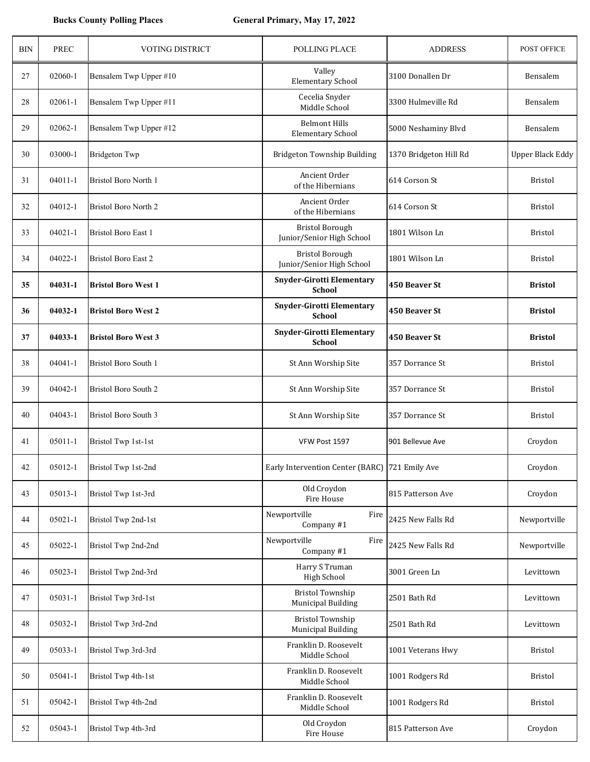| <b>BIN</b> | <b>PREC</b> | VOTING DISTRICT             | POLLING PLACE                                        | <b>ADDRESS</b>         | POST OFFICE             |
|------------|-------------|-----------------------------|------------------------------------------------------|------------------------|-------------------------|
| 27         | 02060-1     | Bensalem Twp Upper #10      | Valley<br><b>Elementary School</b>                   | 3100 Donallen Dr       | Bensalem                |
| 28         | 02061-1     | Bensalem Twp Upper #11      | Cecelia Snyder<br>Middle School                      | 3300 Hulmeville Rd     | Bensalem                |
| 29         | 02062-1     | Bensalem Twp Upper #12      | <b>Belmont Hills</b><br><b>Elementary School</b>     | 5000 Neshaminy Blvd    | Bensalem                |
| 30         | 03000-1     | <b>Bridgeton Twp</b>        | Bridgeton Township Building                          | 1370 Bridgeton Hill Rd | <b>Upper Black Eddy</b> |
| 31         | $04011 - 1$ | Bristol Boro North 1        | Ancient Order<br>of the Hibernians                   | 614 Corson St          | <b>Bristol</b>          |
| 32         | 04012-1     | <b>Bristol Boro North 2</b> | Ancient Order<br>of the Hibernians                   | 614 Corson St          | <b>Bristol</b>          |
| 33         | $04021 - 1$ | <b>Bristol Boro East 1</b>  | <b>Bristol Borough</b><br>Junior/Senior High School  | 1801 Wilson Ln         | <b>Bristol</b>          |
| 34         | 04022-1     | <b>Bristol Boro East 2</b>  | <b>Bristol Borough</b><br>Junior/Senior High School  | 1801 Wilson Ln         | <b>Bristol</b>          |
| 35         | 04031-1     | <b>Bristol Boro West 1</b>  | <b>Snyder-Girotti Elementary</b><br><b>School</b>    | 450 Beaver St          | <b>Bristol</b>          |
| 36         | 04032-1     | <b>Bristol Boro West 2</b>  | <b>Snyder-Girotti Elementary</b><br><b>School</b>    | 450 Beaver St          | <b>Bristol</b>          |
| 37         | 04033-1     | <b>Bristol Boro West 3</b>  | <b>Snyder-Girotti Elementary</b><br><b>School</b>    | 450 Beaver St          | <b>Bristol</b>          |
| 38         | $04041 - 1$ | <b>Bristol Boro South 1</b> | St Ann Worship Site                                  | 357 Dorrance St        | <b>Bristol</b>          |
| 39         | 04042-1     | <b>Bristol Boro South 2</b> | St Ann Worship Site                                  | 357 Dorrance St        | <b>Bristol</b>          |
| 40         | 04043-1     | <b>Bristol Boro South 3</b> | St Ann Worship Site                                  | 357 Dorrance St        | <b>Bristol</b>          |
| 41         | 05011-1     | Bristol Twp 1st-1st         | VFW Post 1597                                        | 901 Bellevue Ave       | Croydon                 |
| 42         | 05012-1     | Bristol Twp 1st-2nd         | Early Intervention Center (BARC) 721 Emily Ave       |                        | Croydon                 |
| 43         | 05013-1     | Bristol Twp 1st-3rd         | Old Croydon<br>Fire House                            | 815 Patterson Ave      | Croydon                 |
| 44         | 05021-1     | Bristol Twp 2nd-1st         | Newportville<br>Fire<br>Company #1                   | 2425 New Falls Rd      | Newportville            |
| 45         | 05022-1     | Bristol Twp 2nd-2nd         | Newportville<br>Fire<br>Company #1                   | 2425 New Falls Rd      | Newportville            |
| 46         | 05023-1     | Bristol Twp 2nd-3rd         | Harry S Truman<br>High School                        | 3001 Green Ln          | Levittown               |
| 47         | 05031-1     | Bristol Twp 3rd-1st         | <b>Bristol Township</b><br><b>Municipal Building</b> | 2501 Bath Rd           | Levittown               |
| 48         | 05032-1     | Bristol Twp 3rd-2nd         | <b>Bristol Township</b><br><b>Municipal Building</b> | 2501 Bath Rd           | Levittown               |
| 49         | 05033-1     | Bristol Twp 3rd-3rd         | Franklin D. Roosevelt<br>Middle School               | 1001 Veterans Hwy      | Bristol                 |
| 50         | 05041-1     | Bristol Twp 4th-1st         | Franklin D. Roosevelt<br>Middle School               | 1001 Rodgers Rd        | Bristol                 |
| 51         | 05042-1     | Bristol Twp 4th-2nd         | Franklin D. Roosevelt<br>Middle School               | 1001 Rodgers Rd        | <b>Bristol</b>          |
| 52         | 05043-1     | Bristol Twp 4th-3rd         | Old Croydon<br>Fire House                            | 815 Patterson Ave      | Croydon                 |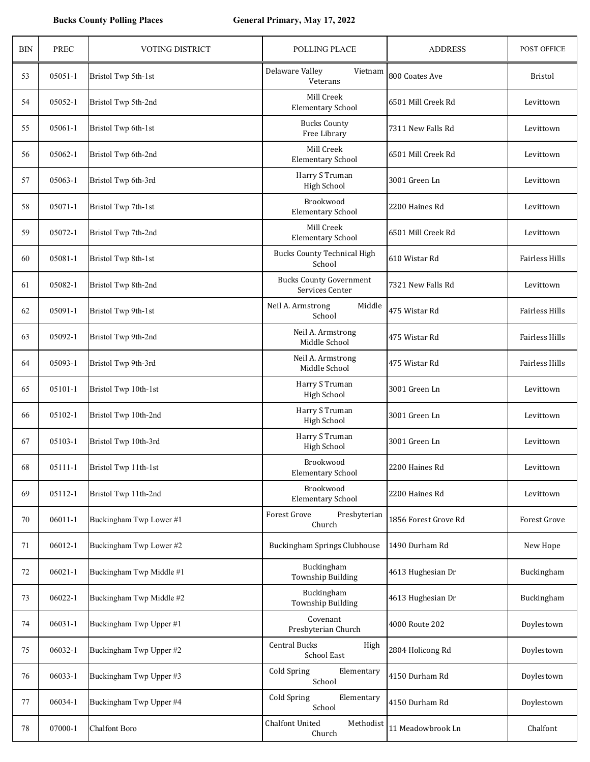## **Bucks County Polling Places General Primary, May 17, 2022**

| <b>BIN</b> | PREC        | <b>VOTING DISTRICT</b>   | <b>POLLING PLACE</b>                               | <b>ADDRESS</b>       | POST OFFICE           |
|------------|-------------|--------------------------|----------------------------------------------------|----------------------|-----------------------|
| 53         | 05051-1     | Bristol Twp 5th-1st      | Delaware Valley<br>Vietnam<br>Veterans             | 800 Coates Ave       | <b>Bristol</b>        |
| 54         | 05052-1     | Bristol Twp 5th-2nd      | Mill Creek<br><b>Elementary School</b>             | 6501 Mill Creek Rd   | Levittown             |
| 55         | 05061-1     | Bristol Twp 6th-1st      | <b>Bucks County</b><br>Free Library                | 7311 New Falls Rd    | Levittown             |
| 56         | 05062-1     | Bristol Twp 6th-2nd      | Mill Creek<br><b>Elementary School</b>             | 6501 Mill Creek Rd   | Levittown             |
| 57         | 05063-1     | Bristol Twp 6th-3rd      | Harry S Truman<br>High School                      | 3001 Green Ln        | Levittown             |
| 58         | 05071-1     | Bristol Twp 7th-1st      | Brookwood<br><b>Elementary School</b>              | 2200 Haines Rd       | Levittown             |
| 59         | 05072-1     | Bristol Twp 7th-2nd      | Mill Creek<br><b>Elementary School</b>             | 6501 Mill Creek Rd   | Levittown             |
| 60         | 05081-1     | Bristol Twp 8th-1st      | <b>Bucks County Technical High</b><br>School       | 610 Wistar Rd        | <b>Fairless Hills</b> |
| 61         | 05082-1     | Bristol Twp 8th-2nd      | <b>Bucks County Government</b><br>Services Center  | 7321 New Falls Rd    | Levittown             |
| 62         | 05091-1     | Bristol Twp 9th-1st      | Neil A. Armstrong<br>Middle<br>School              | 475 Wistar Rd        | <b>Fairless Hills</b> |
| 63         | 05092-1     | Bristol Twp 9th-2nd      | Neil A. Armstrong<br>Middle School                 | 475 Wistar Rd        | <b>Fairless Hills</b> |
| 64         | 05093-1     | Bristol Twp 9th-3rd      | Neil A. Armstrong<br>Middle School                 | 475 Wistar Rd        | <b>Fairless Hills</b> |
| 65         | 05101-1     | Bristol Twp 10th-1st     | Harry S Truman<br>High School                      | 3001 Green Ln        | Levittown             |
| 66         | 05102-1     | Bristol Twp 10th-2nd     | Harry S Truman<br><b>High School</b>               | 3001 Green Ln        | Levittown             |
| 67         | 05103-1     | Bristol Twp 10th-3rd     | Harry S Truman<br><b>High School</b>               | 3001 Green Ln        | Levittown             |
| 68         | 05111-1     | Bristol Twp 11th-1st     | Brookwood<br><b>Elementary School</b>              | 2200 Haines Rd       | Levittown             |
| 69         | 05112-1     | Bristol Twp 11th-2nd     | Brookwood<br><b>Elementary School</b>              | 2200 Haines Rd       | Levittown             |
| 70         | $06011 - 1$ | Buckingham Twp Lower #1  | Forest Grove<br>Presbyterian<br>Church             | 1856 Forest Grove Rd | <b>Forest Grove</b>   |
| 71         | 06012-1     | Buckingham Twp Lower #2  | Buckingham Springs Clubhouse                       | 1490 Durham Rd       | New Hope              |
| 72         | $06021 - 1$ | Buckingham Twp Middle #1 | Buckingham<br><b>Township Building</b>             | 4613 Hughesian Dr    | Buckingham            |
| 73         | 06022-1     | Buckingham Twp Middle #2 | Buckingham<br><b>Township Building</b>             | 4613 Hughesian Dr    | Buckingham            |
| 74         | 06031-1     | Buckingham Twp Upper #1  | Covenant<br>Presbyterian Church                    | 4000 Route 202       | Doylestown            |
| 75         | 06032-1     | Buckingham Twp Upper #2  | <b>Central Bucks</b><br>High<br><b>School East</b> | 2804 Holicong Rd     | Doylestown            |
| 76         | 06033-1     | Buckingham Twp Upper #3  | <b>Cold Spring</b><br>Elementary<br>School         | 4150 Durham Rd       | Doylestown            |
| 77         | 06034-1     | Buckingham Twp Upper #4  | <b>Cold Spring</b><br>Elementary<br>School         | 4150 Durham Rd       | Doylestown            |
| 78         | 07000-1     | Chalfont Boro            | <b>Chalfont United</b><br>Methodist<br>Church      | 11 Meadowbrook Ln    | Chalfont              |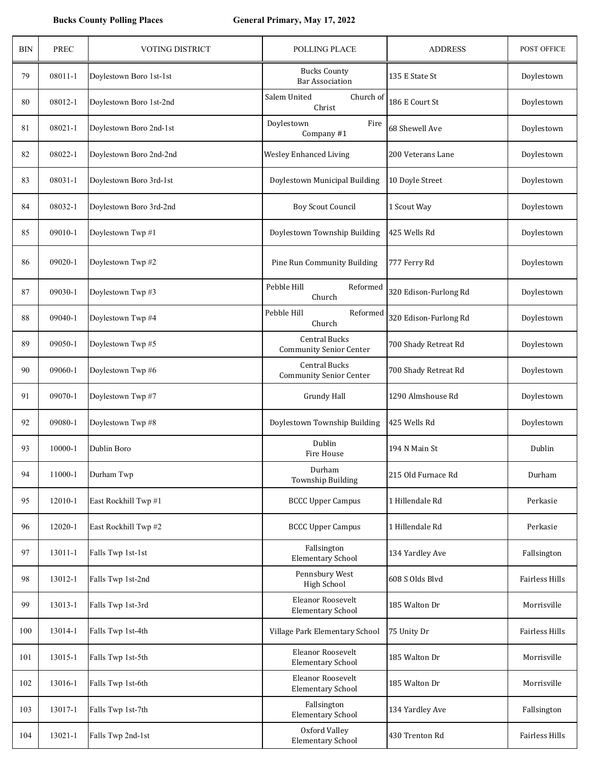| <b>BIN</b> | <b>PREC</b> | VOTING DISTRICT         | POLLING PLACE                                          | <b>ADDRESS</b>        | POST OFFICE    |
|------------|-------------|-------------------------|--------------------------------------------------------|-----------------------|----------------|
| 79         | 08011-1     | Doylestown Boro 1st-1st | <b>Bucks County</b><br><b>Bar Association</b>          | 135 E State St        | Doylestown     |
| 80         | 08012-1     | Doylestown Boro 1st-2nd | Salem United<br>Church of<br>Christ                    | 186 E Court St        | Doylestown     |
| 81         | 08021-1     | Doylestown Boro 2nd-1st | Doylestown<br>Fire<br>Company #1                       | 68 Shewell Ave        | Doylestown     |
| 82         | 08022-1     | Doylestown Boro 2nd-2nd | <b>Wesley Enhanced Living</b>                          | 200 Veterans Lane     | Doylestown     |
| 83         | 08031-1     | Doylestown Boro 3rd-1st | Doylestown Municipal Building                          | 10 Doyle Street       | Doylestown     |
| 84         | 08032-1     | Doylestown Boro 3rd-2nd | <b>Boy Scout Council</b>                               | 1 Scout Way           | Doylestown     |
| 85         | 09010-1     | Doylestown Twp #1       | Doylestown Township Building                           | 425 Wells Rd          | Doylestown     |
| 86         | 09020-1     | Doylestown Twp #2       | Pine Run Community Building                            | 777 Ferry Rd          | Doylestown     |
| 87         | 09030-1     | Doylestown Twp #3       | Pebble Hill<br>Reformed<br>Church                      | 320 Edison-Furlong Rd | Doylestown     |
| 88         | 09040-1     | Doylestown Twp #4       | Pebble Hill<br>Reformed<br>Church                      | 320 Edison-Furlong Rd | Doylestown     |
| 89         | 09050-1     | Doylestown Twp #5       | <b>Central Bucks</b><br><b>Community Senior Center</b> | 700 Shady Retreat Rd  | Doylestown     |
| 90         | 09060-1     | Doylestown Twp #6       | <b>Central Bucks</b><br><b>Community Senior Center</b> | 700 Shady Retreat Rd  | Doylestown     |
| 91         | 09070-1     | Doylestown Twp #7       | <b>Grundy Hall</b>                                     | 1290 Almshouse Rd     | Doylestown     |
| 92         | 09080-1     | Doylestown Twp #8       | Doylestown Township Building                           | 425 Wells Rd          | Doylestown     |
| 93         | 10000-1     | Dublin Boro             | Dublin<br>Fire House                                   | 194 N Main St         | Dublin         |
| 94         | 11000-1     | Durham Twp              | Durham<br><b>Township Building</b>                     | 215 Old Furnace Rd    | Durham         |
| 95         | 12010-1     | East Rockhill Twp #1    | <b>BCCC Upper Campus</b>                               | 1 Hillendale Rd       | Perkasie       |
| 96         | 12020-1     | East Rockhill Twp #2    | <b>BCCC Upper Campus</b>                               | 1 Hillendale Rd       | Perkasie       |
| 97         | 13011-1     | Falls Twp 1st-1st       | Fallsington<br><b>Elementary School</b>                | 134 Yardley Ave       | Fallsington    |
| 98         | 13012-1     | Falls Twp 1st-2nd       | Pennsbury West<br>High School                          | 608 S Olds Blvd       | Fairless Hills |
| 99         | 13013-1     | Falls Twp 1st-3rd       | Eleanor Roosevelt<br><b>Elementary School</b>          | 185 Walton Dr         | Morrisville    |
| 100        | 13014-1     | Falls Twp 1st-4th       | Village Park Elementary School                         | 75 Unity Dr           | Fairless Hills |
| 101        | 13015-1     | Falls Twp 1st-5th       | Eleanor Roosevelt<br><b>Elementary School</b>          | 185 Walton Dr         | Morrisville    |
| 102        | 13016-1     | Falls Twp 1st-6th       | Eleanor Roosevelt<br><b>Elementary School</b>          | 185 Walton Dr         | Morrisville    |
| 103        | 13017-1     | Falls Twp 1st-7th       | Fallsington<br><b>Elementary School</b>                | 134 Yardley Ave       | Fallsington    |
| 104        | 13021-1     | Falls Twp 2nd-1st       | Oxford Valley<br><b>Elementary School</b>              | 430 Trenton Rd        | Fairless Hills |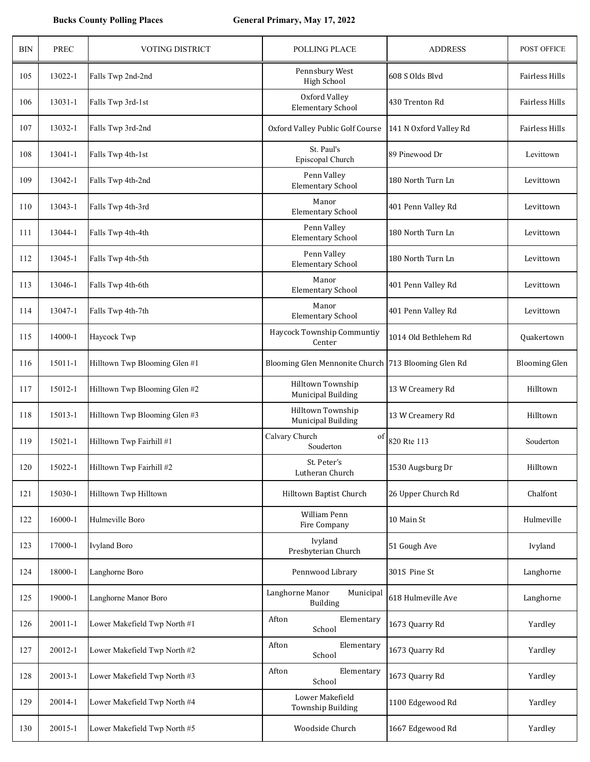| <b>BIN</b> | <b>PREC</b> | <b>VOTING DISTRICT</b>        | POLLING PLACE                                       | <b>ADDRESS</b>         | POST OFFICE          |
|------------|-------------|-------------------------------|-----------------------------------------------------|------------------------|----------------------|
| 105        | 13022-1     | Falls Twp 2nd-2nd             | Pennsbury West<br><b>High School</b>                | 608 S Olds Blvd        | Fairless Hills       |
| 106        | $13031 - 1$ | Falls Twp 3rd-1st             | Oxford Valley<br><b>Elementary School</b>           | 430 Trenton Rd         | Fairless Hills       |
| 107        | 13032-1     | Falls Twp 3rd-2nd             | Oxford Valley Public Golf Course                    | 141 N Oxford Valley Rd | Fairless Hills       |
| 108        | 13041-1     | Falls Twp 4th-1st             | St. Paul's<br>Episcopal Church                      | 89 Pinewood Dr         | Levittown            |
| 109        | 13042-1     | Falls Twp 4th-2nd             | Penn Valley<br><b>Elementary School</b>             | 180 North Turn Ln      | Levittown            |
| 110        | 13043-1     | Falls Twp 4th-3rd             | Manor<br><b>Elementary School</b>                   | 401 Penn Valley Rd     | Levittown            |
| 111        | 13044-1     | Falls Twp 4th-4th             | Penn Valley<br><b>Elementary School</b>             | 180 North Turn Ln      | Levittown            |
| 112        | 13045-1     | Falls Twp 4th-5th             | Penn Valley<br><b>Elementary School</b>             | 180 North Turn Ln      | Levittown            |
| 113        | 13046-1     | Falls Twp 4th-6th             | Manor<br><b>Elementary School</b>                   | 401 Penn Valley Rd     | Levittown            |
| 114        | 13047-1     | Falls Twp 4th-7th             | Manor<br><b>Elementary School</b>                   | 401 Penn Valley Rd     | Levittown            |
| 115        | 14000-1     | Haycock Twp                   | Haycock Township Communtiy<br>Center                | 1014 Old Bethlehem Rd  | Quakertown           |
| 116        | 15011-1     | Hilltown Twp Blooming Glen #1 | Blooming Glen Mennonite Church 713 Blooming Glen Rd |                        | <b>Blooming Glen</b> |
| 117        | 15012-1     | Hilltown Twp Blooming Glen #2 | Hilltown Township<br><b>Municipal Building</b>      | 13 W Creamery Rd       | Hilltown             |
| 118        | 15013-1     | Hilltown Twp Blooming Glen #3 | Hilltown Township<br><b>Municipal Building</b>      | 13 W Creamery Rd       | Hilltown             |
| 119        | 15021-1     | Hilltown Twp Fairhill #1      | Calvary Church<br>of<br>Souderton                   | 820 Rte 113            | Souderton            |
| 120        | 15022-1     | Hilltown Twp Fairhill #2      | St. Peter's<br>Lutheran Church                      | 1530 Augsburg Dr       | Hilltown             |
| 121        | 15030-1     | Hilltown Twp Hilltown         | Hilltown Baptist Church                             | 26 Upper Church Rd     | Chalfont             |
| 122        | 16000-1     | Hulmeville Boro               | William Penn<br>Fire Company                        | 10 Main St             | Hulmeville           |
| 123        | 17000-1     | <b>Ivyland Boro</b>           | Ivyland<br>Presbyterian Church                      | 51 Gough Ave           | Ivyland              |
| 124        | 18000-1     | Langhorne Boro                | Pennwood Library                                    | 301S Pine St           | Langhorne            |
| 125        | 19000-1     | Langhorne Manor Boro          | Langhorne Manor<br>Municipal<br>Building            | 618 Hulmeville Ave     | Langhorne            |
| 126        | 20011-1     | Lower Makefield Twp North #1  | Afton<br>Elementary<br>School                       | 1673 Quarry Rd         | Yardley              |
| 127        | 20012-1     | Lower Makefield Twp North #2  | Afton<br>Elementary<br>School                       | 1673 Quarry Rd         | Yardley              |
| 128        | 20013-1     | Lower Makefield Twp North #3  | Afton<br>Elementary<br>School                       | 1673 Quarry Rd         | Yardley              |
| 129        | 20014-1     | Lower Makefield Twp North #4  | Lower Makefield<br>Township Building                | 1100 Edgewood Rd       | Yardley              |
| 130        | 20015-1     | Lower Makefield Twp North #5  | Woodside Church                                     | 1667 Edgewood Rd       | Yardley              |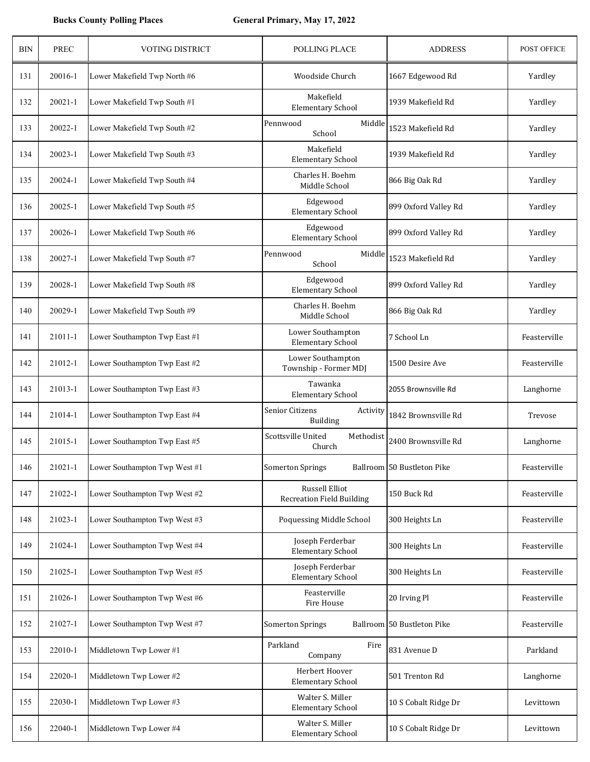| <b>BIN</b> | <b>PREC</b> | <b>VOTING DISTRICT</b>        | POLLING PLACE                                      | <b>ADDRESS</b>             | POST OFFICE  |
|------------|-------------|-------------------------------|----------------------------------------------------|----------------------------|--------------|
| 131        | 20016-1     | Lower Makefield Twp North #6  | Woodside Church                                    | 1667 Edgewood Rd           | Yardley      |
| 132        | 20021-1     | Lower Makefield Twp South #1  | Makefield<br><b>Elementary School</b>              | 1939 Makefield Rd          | Yardley      |
| 133        | 20022-1     | Lower Makefield Twp South #2  | Middle<br>Pennwood<br>School                       | 1523 Makefield Rd          | Yardley      |
| 134        | 20023-1     | Lower Makefield Twp South #3  | Makefield<br><b>Elementary School</b>              | 1939 Makefield Rd          | Yardley      |
| 135        | 20024-1     | Lower Makefield Twp South #4  | Charles H. Boehm<br>Middle School                  | 866 Big Oak Rd             | Yardley      |
| 136        | 20025-1     | Lower Makefield Twp South #5  | Edgewood<br><b>Elementary School</b>               | 899 Oxford Valley Rd       | Yardley      |
| 137        | 20026-1     | Lower Makefield Twp South #6  | Edgewood<br><b>Elementary School</b>               | 899 Oxford Valley Rd       | Yardley      |
| 138        | 20027-1     | Lower Makefield Twp South #7  | Pennwood<br>Middle<br>School                       | 1523 Makefield Rd          | Yardley      |
| 139        | 20028-1     | Lower Makefield Twp South #8  | Edgewood<br><b>Elementary School</b>               | 899 Oxford Valley Rd       | Yardley      |
| 140        | 20029-1     | Lower Makefield Twp South #9  | Charles H. Boehm<br>Middle School                  | 866 Big Oak Rd             | Yardley      |
| 141        | 21011-1     | Lower Southampton Twp East #1 | Lower Southampton<br><b>Elementary School</b>      | 7 School Ln                | Feasterville |
| 142        | 21012-1     | Lower Southampton Twp East #2 | Lower Southampton<br>Township - Former MDJ         | 1500 Desire Ave            | Feasterville |
| 143        | 21013-1     | Lower Southampton Twp East #3 | Tawanka<br><b>Elementary School</b>                | 2055 Brownsville Rd        | Langhorne    |
| 144        | 21014-1     | Lower Southampton Twp East #4 | Senior Citizens<br>Activity<br><b>Building</b>     | 1842 Brownsville Rd        | Trevose      |
| 145        | 21015-1     | Lower Southampton Twp East #5 | Scottsville United<br>Methodist<br>Church          | 2400 Brownsville Rd        | Langhorne    |
| 146        | 21021-1     | Lower Southampton Twp West #1 | <b>Somerton Springs</b>                            | Ballroom 50 Bustleton Pike | Feasterville |
| 147        | 21022-1     | Lower Southampton Twp West #2 | Russell Elliot<br><b>Recreation Field Building</b> | 150 Buck Rd                | Feasterville |
| 148        | 21023-1     | Lower Southampton Twp West #3 | Poquessing Middle School                           | 300 Heights Ln             | Feasterville |
| 149        | 21024-1     | Lower Southampton Twp West #4 | Joseph Ferderbar<br><b>Elementary School</b>       | 300 Heights Ln             | Feasterville |
| 150        | 21025-1     | Lower Southampton Twp West #5 | Joseph Ferderbar<br><b>Elementary School</b>       | 300 Heights Ln             | Feasterville |
| 151        | 21026-1     | Lower Southampton Twp West #6 | Feasterville<br>Fire House                         | 20 Irving Pl               | Feasterville |
| 152        | 21027-1     | Lower Southampton Twp West #7 | <b>Somerton Springs</b>                            | Ballroom 50 Bustleton Pike | Feasterville |
| 153        | 22010-1     | Middletown Twp Lower #1       | Parkland<br>Fire<br>Company                        | 831 Avenue D               | Parkland     |
| 154        | 22020-1     | Middletown Twp Lower #2       | Herbert Hoover<br><b>Elementary School</b>         | 501 Trenton Rd             | Langhorne    |
| 155        | 22030-1     | Middletown Twp Lower #3       | Walter S. Miller<br><b>Elementary School</b>       | 10 S Cobalt Ridge Dr       | Levittown    |
| 156        | 22040-1     | Middletown Twp Lower #4       | Walter S. Miller<br><b>Elementary School</b>       | 10 S Cobalt Ridge Dr       | Levittown    |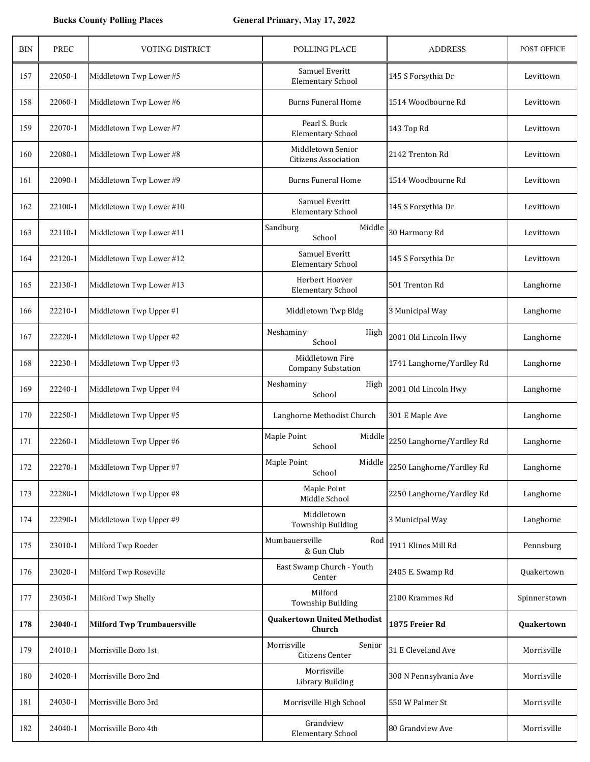| <b>BIN</b> | <b>PREC</b> | <b>VOTING DISTRICT</b>             | POLLING PLACE                                    | <b>ADDRESS</b>                   | POST OFFICE  |
|------------|-------------|------------------------------------|--------------------------------------------------|----------------------------------|--------------|
| 157        | 22050-1     | Middletown Twp Lower #5            | Samuel Everitt<br><b>Elementary School</b>       | 145 S Forsythia Dr               | Levittown    |
| 158        | 22060-1     | Middletown Twp Lower #6            | <b>Burns Funeral Home</b>                        | 1514 Woodbourne Rd               | Levittown    |
| 159        | 22070-1     | Middletown Twp Lower #7            | Pearl S. Buck<br><b>Elementary School</b>        | 143 Top Rd                       | Levittown    |
| 160        | 22080-1     | Middletown Twp Lower #8            | Middletown Senior<br><b>Citizens Association</b> | 2142 Trenton Rd                  | Levittown    |
| 161        | 22090-1     | Middletown Twp Lower #9            | Burns Funeral Home                               | 1514 Woodbourne Rd               | Levittown    |
| 162        | 22100-1     | Middletown Twp Lower #10           | Samuel Everitt<br><b>Elementary School</b>       | 145 S Forsythia Dr               | Levittown    |
| 163        | 22110-1     | Middletown Twp Lower #11           | Sandburg<br>Middle<br>School                     | 30 Harmony Rd                    | Levittown    |
| 164        | 22120-1     | Middletown Twp Lower #12           | Samuel Everitt<br><b>Elementary School</b>       | 145 S Forsythia Dr               | Levittown    |
| 165        | 22130-1     | Middletown Twp Lower #13           | Herbert Hoover<br><b>Elementary School</b>       | 501 Trenton Rd                   | Langhorne    |
| 166        | 22210-1     | Middletown Twp Upper #1            | Middletown Twp Bldg                              | 3 Municipal Way                  | Langhorne    |
| 167        | 22220-1     | Middletown Twp Upper #2            | Neshaminy<br>High<br>School                      | 2001 Old Lincoln Hwy             | Langhorne    |
| 168        | 22230-1     | Middletown Twp Upper #3            | Middletown Fire<br><b>Company Substation</b>     | 1741 Langhorne/Yardley Rd        | Langhorne    |
| 169        | 22240-1     | Middletown Twp Upper #4            | Neshaminy<br>High<br>School                      | 2001 Old Lincoln Hwy             | Langhorne    |
| 170        | 22250-1     | Middletown Twp Upper #5            | Langhorne Methodist Church                       | 301 E Maple Ave                  | Langhorne    |
| 171        | 22260-1     | Middletown Twp Upper #6            | Maple Point<br>Middle<br>School                  | 2250 Langhorne/Yardley Rd        | Langhorne    |
| 172        | 22270-1     | Middletown Twp Upper #7            | Maple Point<br>School                            | Middle 2250 Langhorne/Yardley Rd | Langhorne    |
| 173        | 22280-1     | Middletown Twp Upper #8            | Maple Point<br>Middle School                     | 2250 Langhorne/Yardley Rd        | Langhorne    |
| 174        | 22290-1     | Middletown Twp Upper #9            | Middletown<br>Township Building                  | 3 Municipal Way                  | Langhorne    |
| 175        | 23010-1     | Milford Twp Roeder                 | Mumbauersville<br>Rod<br>& Gun Club              | 1911 Klines Mill Rd              | Pennsburg    |
| 176        | 23020-1     | Milford Twp Roseville              | East Swamp Church - Youth<br>Center              | 2405 E. Swamp Rd                 | Quakertown   |
| 177        | 23030-1     | Milford Twp Shelly                 | Milford<br>Township Building                     | 2100 Krammes Rd                  | Spinnerstown |
| 178        | 23040-1     | <b>Milford Twp Trumbauersville</b> | <b>Quakertown United Methodist</b><br>Church     | 1875 Freier Rd                   | Quakertown   |
| 179        | 24010-1     | Morrisville Boro 1st               | Morrisville<br>Senior<br>Citizens Center         | 31 E Cleveland Ave               | Morrisville  |
| 180        | 24020-1     | Morrisville Boro 2nd               | Morrisville<br>Library Building                  | 300 N Pennsylvania Ave           | Morrisville  |
| 181        | 24030-1     | Morrisville Boro 3rd               | Morrisville High School                          | 550 W Palmer St                  | Morrisville  |
| 182        | 24040-1     | Morrisville Boro 4th               | Grandview<br><b>Elementary School</b>            | 80 Grandview Ave                 | Morrisville  |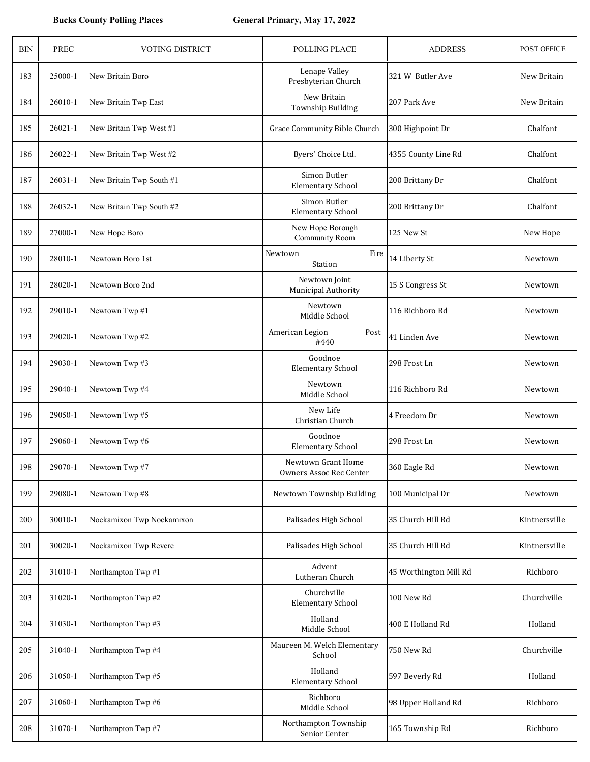| <b>BIN</b> | PREC        | VOTING DISTRICT           | POLLING PLACE                                 | <b>ADDRESS</b>         | POST OFFICE   |
|------------|-------------|---------------------------|-----------------------------------------------|------------------------|---------------|
| 183        | 25000-1     | New Britain Boro          | Lenape Valley<br>Presbyterian Church          | 321 W Butler Ave       | New Britain   |
| 184        | 26010-1     | New Britain Twp East      | New Britain<br><b>Township Building</b>       | 207 Park Ave           | New Britain   |
| 185        | $26021 - 1$ | New Britain Twp West #1   | Grace Community Bible Church                  | 300 Highpoint Dr       | Chalfont      |
| 186        | 26022-1     | New Britain Twp West #2   | Byers' Choice Ltd.                            | 4355 County Line Rd    | Chalfont      |
| 187        | 26031-1     | New Britain Twp South #1  | Simon Butler<br><b>Elementary School</b>      | 200 Brittany Dr        | Chalfont      |
| 188        | 26032-1     | New Britain Twp South #2  | Simon Butler<br><b>Elementary School</b>      | 200 Brittany Dr        | Chalfont      |
| 189        | 27000-1     | New Hope Boro             | New Hope Borough<br>Community Room            | 125 New St             | New Hope      |
| 190        | 28010-1     | Newtown Boro 1st          | Newtown<br>Fire<br>Station                    | 14 Liberty St          | Newtown       |
| 191        | 28020-1     | Newtown Boro 2nd          | Newtown Joint<br>Municipal Authority          | 15 S Congress St       | Newtown       |
| 192        | 29010-1     | Newtown Twp #1            | Newtown<br>Middle School                      | 116 Richboro Rd        | Newtown       |
| 193        | 29020-1     | Newtown Twp #2            | Post<br>American Legion<br>#440               | 41 Linden Ave          | Newtown       |
| 194        | 29030-1     | Newtown Twp #3            | Goodnoe<br><b>Elementary School</b>           | 298 Frost Ln           | Newtown       |
| 195        | 29040-1     | Newtown Twp #4            | Newtown<br>Middle School                      | 116 Richboro Rd        | Newtown       |
| 196        | 29050-1     | Newtown Twp #5            | New Life<br>Christian Church                  | 4 Freedom Dr           | Newtown       |
| 197        | 29060-1     | Newtown Twp #6            | Goodnoe<br><b>Elementary School</b>           | 298 Frost Ln           | Newtown       |
| 198        | 29070-1     | Newtown Twp #7            | Newtown Grant Home<br>Owners Assoc Rec Center | 360 Eagle Rd           | Newtown       |
| 199        | 29080-1     | Newtown Twp #8            | Newtown Township Building                     | 100 Municipal Dr       | Newtown       |
| 200        | 30010-1     | Nockamixon Twp Nockamixon | Palisades High School                         | 35 Church Hill Rd      | Kintnersville |
| 201        | 30020-1     | Nockamixon Twp Revere     | Palisades High School                         | 35 Church Hill Rd      | Kintnersville |
| 202        | 31010-1     | Northampton Twp #1        | Advent<br>Lutheran Church                     | 45 Worthington Mill Rd | Richboro      |
| 203        | 31020-1     | Northampton Twp #2        | Churchville<br><b>Elementary School</b>       | 100 New Rd             | Churchville   |
| 204        | 31030-1     | Northampton Twp #3        | Holland<br>Middle School                      | 400 E Holland Rd       | Holland       |
| 205        | 31040-1     | Northampton Twp #4        | Maureen M. Welch Elementary<br>School         | 750 New Rd             | Churchville   |
| 206        | 31050-1     | Northampton Twp #5        | Holland<br><b>Elementary School</b>           | 597 Beverly Rd         | Holland       |
| 207        | 31060-1     | Northampton Twp #6        | Richboro<br>Middle School                     | 98 Upper Holland Rd    | Richboro      |
| 208        | 31070-1     | Northampton Twp #7        | Northampton Township<br>Senior Center         | 165 Township Rd        | Richboro      |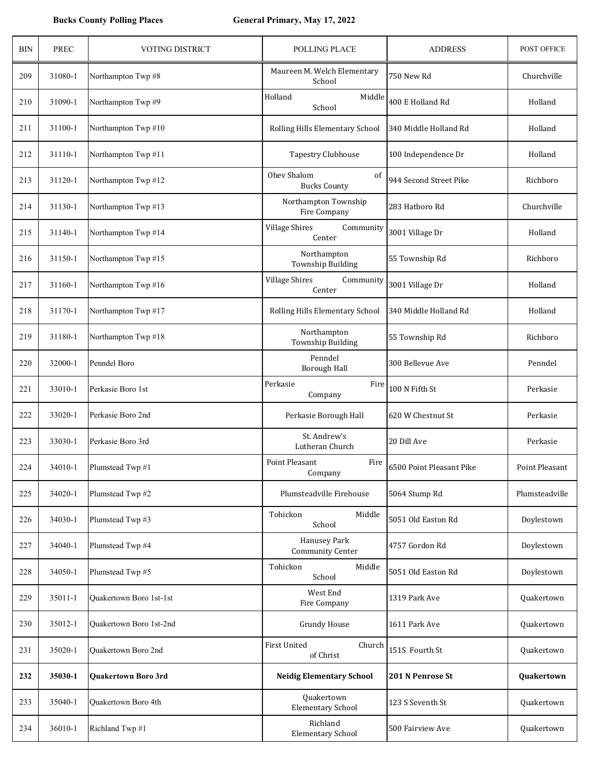| <b>BIN</b> | <b>PREC</b> | <b>VOTING DISTRICT</b>  | POLLING PLACE                                | <b>ADDRESS</b>           | POST OFFICE    |
|------------|-------------|-------------------------|----------------------------------------------|--------------------------|----------------|
| 209        | 31080-1     | Northampton Twp #8      | Maureen M. Welch Elementary<br>School        | 750 New Rd               | Churchville    |
| 210        | 31090-1     | Northampton Twp #9      | Holland<br>Middle<br>School                  | 400 E Holland Rd         | Holland        |
| 211        | 31100-1     | Northampton Twp #10     | Rolling Hills Elementary School              | 340 Middle Holland Rd    | Holland        |
| 212        | 31110-1     | Northampton Twp #11     | <b>Tapestry Clubhouse</b>                    | 100 Independence Dr      | Holland        |
| 213        | 31120-1     | Northampton Twp #12     | Ohev Shalom<br>of<br><b>Bucks County</b>     | 944 Second Street Pike   | Richboro       |
| 214        | 31130-1     | Northampton Twp #13     | Northampton Township<br>Fire Company         | 283 Hatboro Rd           | Churchville    |
| 215        | 31140-1     | Northampton Twp #14     | <b>Village Shires</b><br>Community<br>Center | 3001 Village Dr          | Holland        |
| 216        | 31150-1     | Northampton Twp #15     | Northampton<br>Township Building             | 55 Township Rd           | Richboro       |
| 217        | 31160-1     | Northampton Twp #16     | Village Shires<br>Community<br>Center        | 3001 Village Dr          | Holland        |
| 218        | 31170-1     | Northampton Twp #17     | Rolling Hills Elementary School              | 340 Middle Holland Rd    | Holland        |
| 219        | 31180-1     | Northampton Twp #18     | Northampton<br>Township Building             | 55 Township Rd           | Richboro       |
| 220        | 32000-1     | Penndel Boro            | Penndel<br><b>Borough Hall</b>               | 300 Bellevue Ave         | Penndel        |
| 221        | 33010-1     | Perkasie Boro 1st       | Perkasie<br>Fire<br>Company                  | 100 N Fifth St           | Perkasie       |
| 222        | 33020-1     | Perkasie Boro 2nd       | Perkasie Borough Hall                        | 620 W Chestnut St        | Perkasie       |
| 223        | 33030-1     | Perkasie Boro 3rd       | St. Andrew's<br>Lutheran Church              | 20 Dill Ave              | Perkasie       |
| 224        | 34010-1     | Plumstead Twp #1        | Point Pleasant<br>Fire<br>Company            | 6500 Point Pleasant Pike | Point Pleasant |
| 225        | 34020-1     | Plumstead Twp #2        | Plumsteadville Firehouse                     | 5064 Stump Rd            | Plumsteadville |
| 226        | 34030-1     | Plumstead Twp #3        | Tohickon<br>Middle<br>School                 | 5051 Old Easton Rd       | Doylestown     |
| 227        | 34040-1     | Plumstead Twp #4        | Hanusey Park<br><b>Community Center</b>      | 4757 Gordon Rd           | Doylestown     |
| 228        | 34050-1     | Plumstead Twp #5        | Tohickon<br>Middle<br>School                 | 5051 Old Easton Rd       | Doylestown     |
| 229        | 35011-1     | Quakertown Boro 1st-1st | West End<br>Fire Company                     | 1319 Park Ave            | Quakertown     |
| 230        | 35012-1     | Quakertown Boro 1st-2nd | <b>Grundy House</b>                          | 1611 Park Ave            | Quakertown     |
| 231        | 35020-1     | Quakertown Boro 2nd     | First United<br>Church<br>of Christ          | 151S Fourth St           | Quakertown     |
| 232        | 35030-1     | Quakertown Boro 3rd     | <b>Neidig Elementary School</b>              | 201 N Penrose St         | Quakertown     |
| 233        | 35040-1     | Quakertown Boro 4th     | Quakertown<br><b>Elementary School</b>       | 123 S Seventh St         | Quakertown     |
| 234        | 36010-1     | Richland Twp #1         | Richland<br><b>Elementary School</b>         | 500 Fairview Ave         | Quakertown     |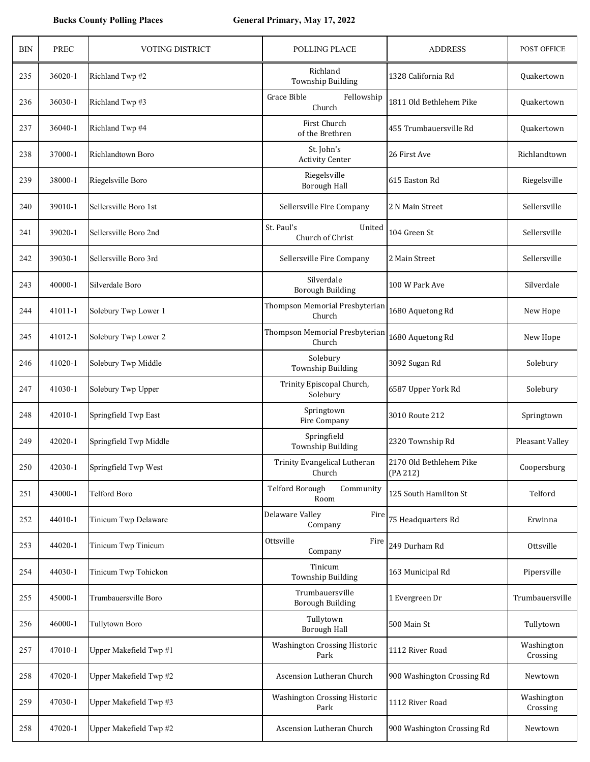| <b>BIN</b> | <b>PREC</b> | <b>VOTING DISTRICT</b> | <b>POLLING PLACE</b>                        | <b>ADDRESS</b>                      | POST OFFICE            |
|------------|-------------|------------------------|---------------------------------------------|-------------------------------------|------------------------|
| 235        | 36020-1     | Richland Twp #2        | Richland<br><b>Township Building</b>        | 1328 California Rd                  | Quakertown             |
| 236        | 36030-1     | Richland Twp #3        | Grace Bible<br>Fellowship<br>Church         | 1811 Old Bethlehem Pike             | Quakertown             |
| 237        | 36040-1     | Richland Twp #4        | First Church<br>of the Brethren             | 455 Trumbauersville Rd              | Quakertown             |
| 238        | 37000-1     | Richlandtown Boro      | St. John's<br><b>Activity Center</b>        | 26 First Ave                        | Richlandtown           |
| 239        | 38000-1     | Riegelsville Boro      | Riegelsville<br><b>Borough Hall</b>         | 615 Easton Rd                       | Riegelsville           |
| 240        | 39010-1     | Sellersville Boro 1st  | Sellersville Fire Company                   | 2 N Main Street                     | Sellersville           |
| 241        | 39020-1     | Sellersville Boro 2nd  | St. Paul's<br>United<br>Church of Christ    | 104 Green St                        | Sellersville           |
| 242        | 39030-1     | Sellersville Boro 3rd  | Sellersville Fire Company                   | 2 Main Street                       | Sellersville           |
| 243        | 40000-1     | Silverdale Boro        | Silverdale<br><b>Borough Building</b>       | 100 W Park Ave                      | Silverdale             |
| 244        | 41011-1     | Solebury Twp Lower 1   | Thompson Memorial Presbyterian<br>Church    | 1680 Aquetong Rd                    | New Hope               |
| 245        | 41012-1     | Solebury Twp Lower 2   | Thompson Memorial Presbyterian<br>Church    | 1680 Aquetong Rd                    | New Hope               |
| 246        | 41020-1     | Solebury Twp Middle    | Solebury<br><b>Township Building</b>        | 3092 Sugan Rd                       | Solebury               |
| 247        | 41030-1     | Solebury Twp Upper     | Trinity Episcopal Church,<br>Solebury       | 6587 Upper York Rd                  | Solebury               |
| 248        | 42010-1     | Springfield Twp East   | Springtown<br>Fire Company                  | 3010 Route 212                      | Springtown             |
| 249        | 42020-1     | Springfield Twp Middle | Springfield<br><b>Township Building</b>     | 2320 Township Rd                    | Pleasant Valley        |
| 250        | 42030-1     | Springfield Twp West   | Trinity Evangelical Lutheran<br>Church      | 2170 Old Bethlehem Pike<br>(PA 212) | Coopersburg            |
| 251        | 43000-1     | Telford Boro           | <b>Telford Borough</b><br>Community<br>Room | 125 South Hamilton St               | Telford                |
| 252        | 44010-1     | Tinicum Twp Delaware   | Delaware Valley<br>Fire<br>Company          | 75 Headquarters Rd                  | Erwinna                |
| 253        | 44020-1     | Tinicum Twp Tinicum    | Ottsville<br>Fire<br>Company                | 249 Durham Rd                       | Ottsville              |
| 254        | 44030-1     | Tinicum Twp Tohickon   | Tinicum<br>Township Building                | 163 Municipal Rd                    | Pipersville            |
| 255        | 45000-1     | Trumbauersville Boro   | Trumbauersville<br><b>Borough Building</b>  | 1 Evergreen Dr                      | Trumbauersville        |
| 256        | 46000-1     | <b>Tullytown Boro</b>  | Tullytown<br><b>Borough Hall</b>            | 500 Main St                         | Tullytown              |
| 257        | 47010-1     | Upper Makefield Twp #1 | Washington Crossing Historic<br>Park        | 1112 River Road                     | Washington<br>Crossing |
| 258        | 47020-1     | Upper Makefield Twp #2 | Ascension Lutheran Church                   | 900 Washington Crossing Rd          | Newtown                |
| 259        | 47030-1     | Upper Makefield Twp #3 | Washington Crossing Historic<br>Park        | 1112 River Road                     | Washington<br>Crossing |
| 258        | 47020-1     | Upper Makefield Twp #2 | Ascension Lutheran Church                   | 900 Washington Crossing Rd          | Newtown                |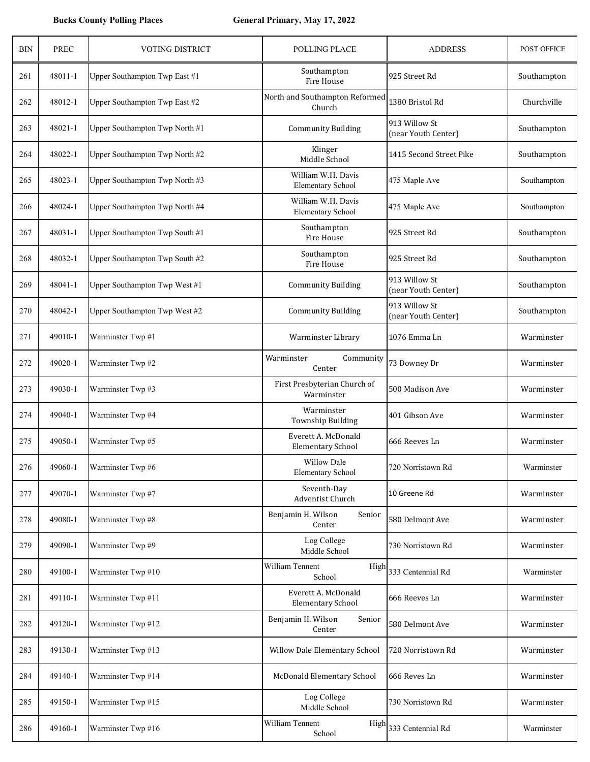| <b>BIN</b> | <b>PREC</b> | VOTING DISTRICT                | <b>POLLING PLACE</b>                            | <b>ADDRESS</b>                       | POST OFFICE |
|------------|-------------|--------------------------------|-------------------------------------------------|--------------------------------------|-------------|
| 261        | 48011-1     | Upper Southampton Twp East #1  | Southampton<br>Fire House                       | 925 Street Rd                        | Southampton |
| 262        | 48012-1     | Upper Southampton Twp East #2  | North and Southampton Reformed<br>Church        | 1380 Bristol Rd                      | Churchville |
| 263        | 48021-1     | Upper Southampton Twp North #1 | <b>Community Building</b>                       | 913 Willow St<br>(near Youth Center) | Southampton |
| 264        | 48022-1     | Upper Southampton Twp North #2 | Klinger<br>Middle School                        | 1415 Second Street Pike              | Southampton |
| 265        | 48023-1     | Upper Southampton Twp North #3 | William W.H. Davis<br><b>Elementary School</b>  | 475 Maple Ave                        | Southampton |
| 266        | 48024-1     | Upper Southampton Twp North #4 | William W.H. Davis<br><b>Elementary School</b>  | 475 Maple Ave                        | Southampton |
| 267        | 48031-1     | Upper Southampton Twp South #1 | Southampton<br>Fire House                       | 925 Street Rd                        | Southampton |
| 268        | 48032-1     | Upper Southampton Twp South #2 | Southampton<br>Fire House                       | 925 Street Rd                        | Southampton |
| 269        | 48041-1     | Upper Southampton Twp West #1  | <b>Community Building</b>                       | 913 Willow St<br>(near Youth Center) | Southampton |
| 270        | 48042-1     | Upper Southampton Twp West #2  | <b>Community Building</b>                       | 913 Willow St<br>(near Youth Center) | Southampton |
| 271        | 49010-1     | Warminster Twp #1              | Warminster Library                              | 1076 Emma Ln                         | Warminster  |
| 272        | 49020-1     | Warminster Twp #2              | Warminster<br>Community<br>Center               | 73 Downey Dr                         | Warminster  |
| 273        | 49030-1     | Warminster Twp #3              | First Presbyterian Church of<br>Warminster      | 500 Madison Ave                      | Warminster  |
| 274        | 49040-1     | Warminster Twp #4              | Warminster<br>Township Building                 | 401 Gibson Ave                       | Warminster  |
| 275        | 49050-1     | Warminster Twp #5              | Everett A. McDonald<br><b>Elementary School</b> | 666 Reeves Ln                        | Warminster  |
| 276        | 49060-1     | Warminster Twp #6              | <b>Willow Dale</b><br><b>Elementary School</b>  | 720 Norristown Rd                    | Warminster  |
| 277        | 49070-1     | Warminster Twp #7              | Seventh-Day<br>Adventist Church                 | 10 Greene Rd                         | Warminster  |
| 278        | 49080-1     | Warminster Twp #8              | Benjamin H. Wilson<br>Senior<br>Center          | 580 Delmont Ave                      | Warminster  |
| 279        | 49090-1     | Warminster Twp #9              | Log College<br>Middle School                    | 730 Norristown Rd                    | Warminster  |
| 280        | 49100-1     | Warminster Twp #10             | William Tennent<br>High<br>School               | 333 Centennial Rd                    | Warminster  |
| 281        | 49110-1     | Warminster Twp #11             | Everett A. McDonald<br><b>Elementary School</b> | 666 Reeves Ln                        | Warminster  |
| 282        | 49120-1     | Warminster Twp #12             | Benjamin H. Wilson<br>Senior<br>Center          | 580 Delmont Ave                      | Warminster  |
| 283        | 49130-1     | Warminster Twp #13             | Willow Dale Elementary School                   | 720 Norristown Rd                    | Warminster  |
| 284        | 49140-1     | Warminster Twp #14             | McDonald Elementary School                      | 666 Reves Ln                         | Warminster  |
| 285        | 49150-1     | Warminster Twp #15             | Log College<br>Middle School                    | 730 Norristown Rd                    | Warminster  |
| 286        | 49160-1     | Warminster Twp #16             | William Tennent<br>High<br>School               | 333 Centennial Rd                    | Warminster  |